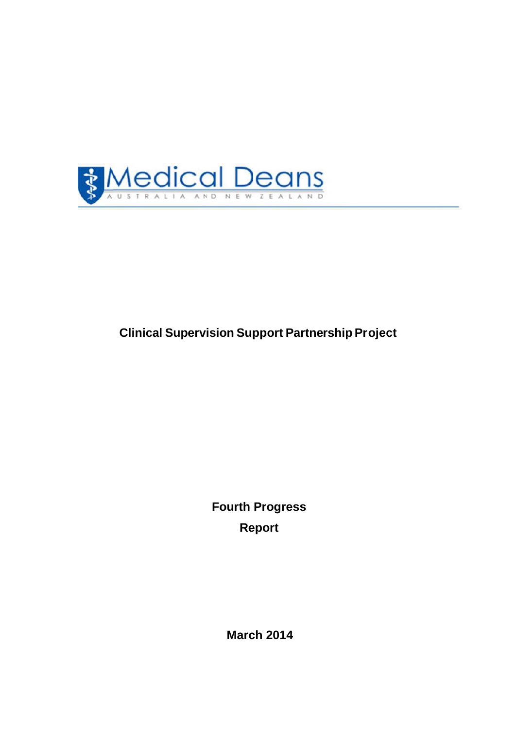

# **Clinical Supervision Support Partnership Project**

**Fourth Progress Report**

**March 2014**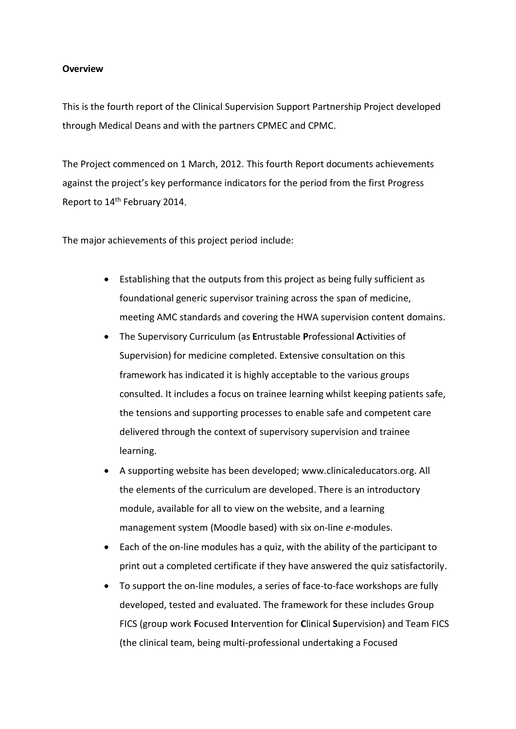#### **Overview**

This is the fourth report of the Clinical Supervision Support Partnership Project developed through Medical Deans and with the partners CPMEC and CPMC.

The Project commenced on 1 March, 2012. This fourth Report documents achievements against the project's key performance indicators for the period from the first Progress Report to 14<sup>th</sup> February 2014.

The major achievements of this project period include:

- Establishing that the outputs from this project as being fully sufficient as foundational generic supervisor training across the span of medicine, meeting AMC standards and covering the HWA supervision content domains.
- The Supervisory Curriculum (as **E**ntrustable **P**rofessional **A**ctivities of Supervision) for medicine completed. Extensive consultation on this framework has indicated it is highly acceptable to the various groups consulted. It includes a focus on trainee learning whilst keeping patients safe, the tensions and supporting processes to enable safe and competent care delivered through the context of supervisory supervision and trainee learning.
- A supporting website has been developed; www.clinicaleducators.org. All the elements of the curriculum are developed. There is an introductory module, available for all to view on the website, and a learning management system (Moodle based) with six on-line *e*-modules.
- Each of the on-line modules has a quiz, with the ability of the participant to print out a completed certificate if they have answered the quiz satisfactorily.
- To support the on-line modules, a series of face-to-face workshops are fully developed, tested and evaluated. The framework for these includes Group FICS (group work **F**ocused **I**ntervention for **C**linical **S**upervision) and Team FICS (the clinical team, being multi-professional undertaking a Focused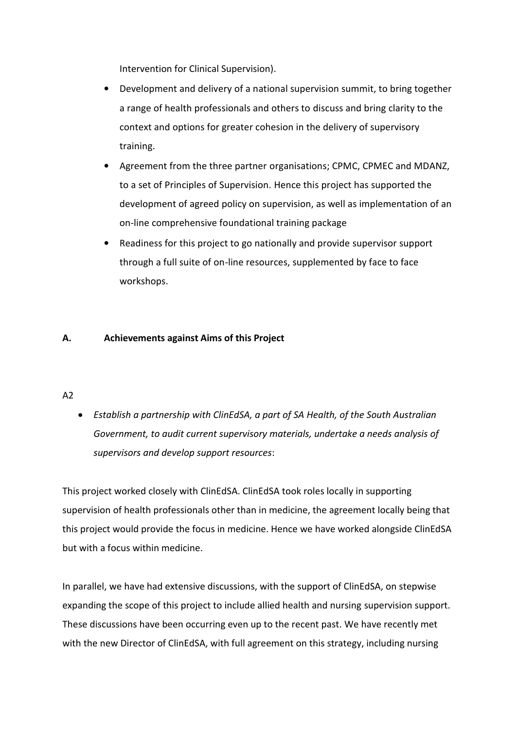Intervention for Clinical Supervision).

- Development and delivery of a national supervision summit, to bring together a range of health professionals and others to discuss and bring clarity to the context and options for greater cohesion in the delivery of supervisory training.
- Agreement from the three partner organisations; CPMC, CPMEC and MDANZ, to a set of Principles of Supervision. Hence this project has supported the development of agreed policy on supervision, as well as implementation of an on-line comprehensive foundational training package
- Readiness for this project to go nationally and provide supervisor support through a full suite of on-line resources, supplemented by face to face workshops.

## **A. Achievements against Aims of this Project**

## A2

 *Establish a partnership with ClinEdSA, a part of SA Health, of the South Australian Government, to audit current supervisory materials, undertake a needs analysis of supervisors and develop support resources*:

This project worked closely with ClinEdSA. ClinEdSA took roles locally in supporting supervision of health professionals other than in medicine, the agreement locally being that this project would provide the focus in medicine. Hence we have worked alongside ClinEdSA but with a focus within medicine.

In parallel, we have had extensive discussions, with the support of ClinEdSA, on stepwise expanding the scope of this project to include allied health and nursing supervision support. These discussions have been occurring even up to the recent past. We have recently met with the new Director of ClinEdSA, with full agreement on this strategy, including nursing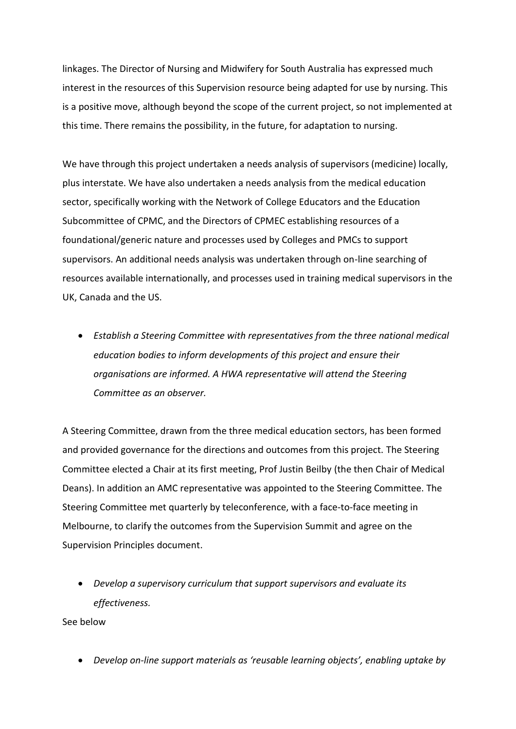linkages. The Director of Nursing and Midwifery for South Australia has expressed much interest in the resources of this Supervision resource being adapted for use by nursing. This is a positive move, although beyond the scope of the current project, so not implemented at this time. There remains the possibility, in the future, for adaptation to nursing.

We have through this project undertaken a needs analysis of supervisors (medicine) locally, plus interstate. We have also undertaken a needs analysis from the medical education sector, specifically working with the Network of College Educators and the Education Subcommittee of CPMC, and the Directors of CPMEC establishing resources of a foundational/generic nature and processes used by Colleges and PMCs to support supervisors. An additional needs analysis was undertaken through on-line searching of resources available internationally, and processes used in training medical supervisors in the UK, Canada and the US.

 *Establish a Steering Committee with representatives from the three national medical education bodies to inform developments of this project and ensure their organisations are informed. A HWA representative will attend the Steering Committee as an observer.*

A Steering Committee, drawn from the three medical education sectors, has been formed and provided governance for the directions and outcomes from this project. The Steering Committee elected a Chair at its first meeting, Prof Justin Beilby (the then Chair of Medical Deans). In addition an AMC representative was appointed to the Steering Committee. The Steering Committee met quarterly by teleconference, with a face-to-face meeting in Melbourne, to clarify the outcomes from the Supervision Summit and agree on the Supervision Principles document.

 *Develop a supervisory curriculum that support supervisors and evaluate its effectiveness.*

See below

*Develop on-line support materials as 'reusable learning objects', enabling uptake by*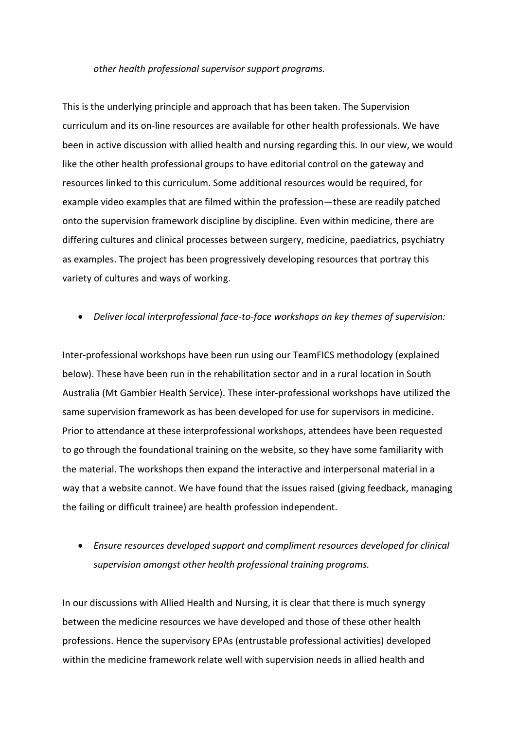#### *other health professional supervisor support programs.*

This is the underlying principle and approach that has been taken. The Supervision curriculum and its on-line resources are available for other health professionals. We have been in active discussion with allied health and nursing regarding this. In our view, we would like the other health professional groups to have editorial control on the gateway and resources linked to this curriculum. Some additional resources would be required, for example video examples that are filmed within the profession—these are readily patched onto the supervision framework discipline by discipline. Even within medicine, there are differing cultures and clinical processes between surgery, medicine, paediatrics, psychiatry as examples. The project has been progressively developing resources that portray this variety of cultures and ways of working.

#### *Deliver local interprofessional face-to-face workshops on key themes of supervision:*

Inter-professional workshops have been run using our TeamFICS methodology (explained below). These have been run in the rehabilitation sector and in a rural location in South Australia (Mt Gambier Health Service). These inter-professional workshops have utilized the same supervision framework as has been developed for use for supervisors in medicine. Prior to attendance at these interprofessional workshops, attendees have been requested to go through the foundational training on the website, so they have some familiarity with the material. The workshops then expand the interactive and interpersonal material in a way that a website cannot. We have found that the issues raised (giving feedback, managing the failing or difficult trainee) are health profession independent.

## *Ensure resources developed support and compliment resources developed for clinical supervision amongst other health professional training programs.*

In our discussions with Allied Health and Nursing, it is clear that there is much synergy between the medicine resources we have developed and those of these other health professions. Hence the supervisory EPAs (entrustable professional activities) developed within the medicine framework relate well with supervision needs in allied health and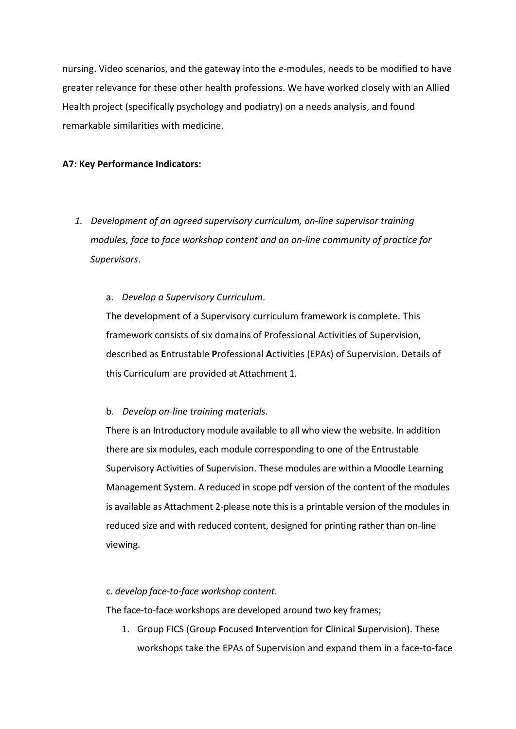nursing. Video scenarios, and the gateway into the *e*-modules, needs to be modified to have greater relevance for these other health professions. We have worked closely with an Allied Health project (specifically psychology and podiatry) on a needs analysis, and found remarkable similarities with medicine.

## **A7: Key Performance Indicators:**

*1. Development of an agreed supervisory curriculum, on-line supervisor training modules, face to face workshop content and an on-line community of practice for Supervisors.*

#### a. *Develop a Supervisory Curriculum*.

The development of a Supervisory curriculum framework is complete. This framework consists of six domains of Professional Activities of Supervision, described as **E**ntrustable **P**rofessional **A**ctivities (EPAs) of Supervision. Details of this Curriculum are provided at Attachment 1.

#### b. *Develop on-line training materials*.

There is an Introductory module available to all who view the website. In addition there are six modules, each module corresponding to one of the Entrustable Supervisory Activities of Supervision. These modules are within a Moodle Learning Management System. A reduced in scope pdf version of the content of the modules is available as Attachment 2-please note this is a printable version of the modules in reduced size and with reduced content, designed for printing rather than on-line viewing.

#### c. *develop face-to-face workshop content*.

The face-to-face workshops are developed around two key frames;

1. Group FICS (Group **F**ocused **I**ntervention for **C**linical **S**upervision). These workshops take the EPAs of Supervision and expand them in a face-to-face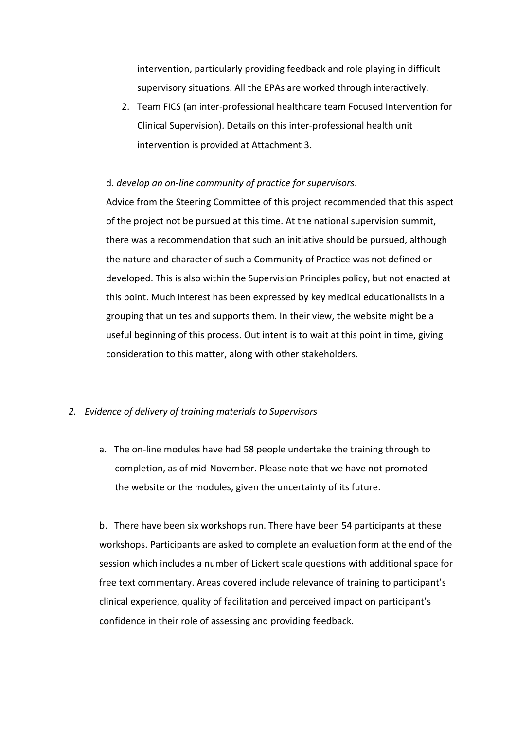intervention, particularly providing feedback and role playing in difficult supervisory situations. All the EPAs are worked through interactively.

2. Team FICS (an inter-professional healthcare team Focused Intervention for Clinical Supervision). Details on this inter-professional health unit intervention is provided at Attachment 3.

#### d. *develop an on-line community of practice for supervisors*.

Advice from the Steering Committee of this project recommended that this aspect of the project not be pursued at this time. At the national supervision summit, there was a recommendation that such an initiative should be pursued, although the nature and character of such a Community of Practice was not defined or developed. This is also within the Supervision Principles policy, but not enacted at this point. Much interest has been expressed by key medical educationalists in a grouping that unites and supports them. In their view, the website might be a useful beginning of this process. Out intent is to wait at this point in time, giving consideration to this matter, along with other stakeholders.

## *2. Evidence of delivery of training materials to Supervisors*

a. The on-line modules have had 58 people undertake the training through to completion, as of mid-November. Please note that we have not promoted the website or the modules, given the uncertainty of its future.

b. There have been six workshops run. There have been 54 participants at these workshops. Participants are asked to complete an evaluation form at the end of the session which includes a number of Lickert scale questions with additional space for free text commentary. Areas covered include relevance of training to participant's clinical experience, quality of facilitation and perceived impact on participant's confidence in their role of assessing and providing feedback.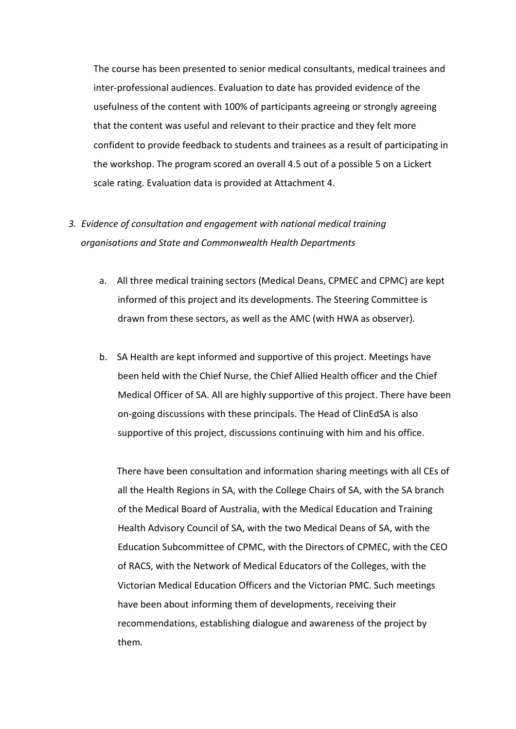The course has been presented to senior medical consultants, medical trainees and inter-professional audiences. Evaluation to date has provided evidence of the usefulness of the content with 100% of participants agreeing or strongly agreeing that the content was useful and relevant to their practice and they felt more confident to provide feedback to students and trainees as a result of participating in the workshop. The program scored an overall 4.5 out of a possible 5 on a Lickert scale rating. Evaluation data is provided at Attachment 4.

## *3. Evidence of consultation and engagement with national medical training organisations and State and Commonwealth Health Departments*

- a. All three medical training sectors (Medical Deans, CPMEC and CPMC) are kept informed of this project and its developments. The Steering Committee is drawn from these sectors, as well as the AMC (with HWA as observer).
- b. SA Health are kept informed and supportive of this project. Meetings have been held with the Chief Nurse, the Chief Allied Health officer and the Chief Medical Officer of SA. All are highly supportive of this project. There have been on-going discussions with these principals. The Head of ClinEdSA is also supportive of this project, discussions continuing with him and his office.

There have been consultation and information sharing meetings with all CEs of all the Health Regions in SA, with the College Chairs of SA, with the SA branch of the Medical Board of Australia, with the Medical Education and Training Health Advisory Council of SA, with the two Medical Deans of SA, with the Education Subcommittee of CPMC, with the Directors of CPMEC, with the CEO of RACS, with the Network of Medical Educators of the Colleges, with the Victorian Medical Education Officers and the Victorian PMC. Such meetings have been about informing them of developments, receiving their recommendations, establishing dialogue and awareness of the project by them.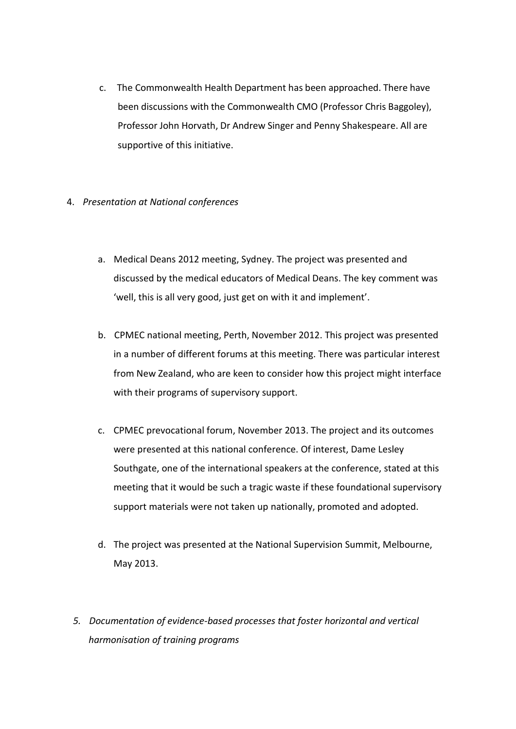- c. The Commonwealth Health Department has been approached. There have been discussions with the Commonwealth CMO (Professor Chris Baggoley), Professor John Horvath, Dr Andrew Singer and Penny Shakespeare. All are supportive of this initiative.
- 4. *Presentation at National conferences*
	- a. Medical Deans 2012 meeting, Sydney. The project was presented and discussed by the medical educators of Medical Deans. The key comment was 'well, this is all very good, just get on with it and implement'.
	- b. CPMEC national meeting, Perth, November 2012. This project was presented in a number of different forums at this meeting. There was particular interest from New Zealand, who are keen to consider how this project might interface with their programs of supervisory support.
	- c. CPMEC prevocational forum, November 2013. The project and its outcomes were presented at this national conference. Of interest, Dame Lesley Southgate, one of the international speakers at the conference, stated at this meeting that it would be such a tragic waste if these foundational supervisory support materials were not taken up nationally, promoted and adopted.
	- d. The project was presented at the National Supervision Summit, Melbourne, May 2013.
	- *5. Documentation of evidence-based processes that foster horizontal and vertical harmonisation of training programs*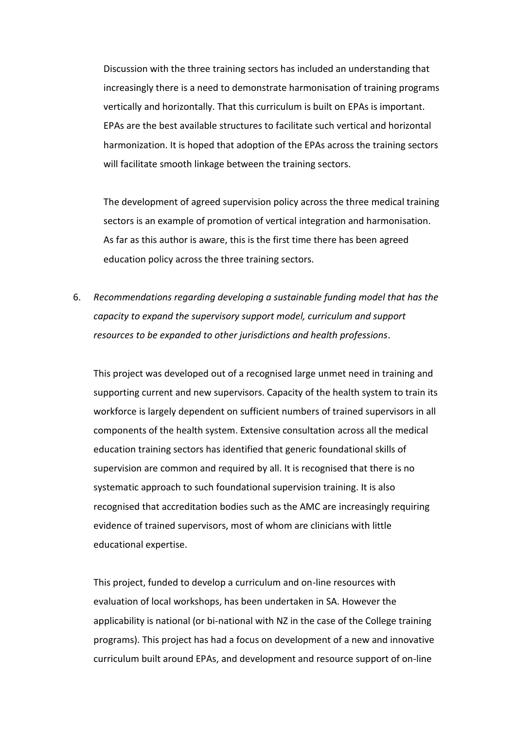Discussion with the three training sectors has included an understanding that increasingly there is a need to demonstrate harmonisation of training programs vertically and horizontally. That this curriculum is built on EPAs is important. EPAs are the best available structures to facilitate such vertical and horizontal harmonization. It is hoped that adoption of the EPAs across the training sectors will facilitate smooth linkage between the training sectors.

The development of agreed supervision policy across the three medical training sectors is an example of promotion of vertical integration and harmonisation. As far as this author is aware, this is the first time there has been agreed education policy across the three training sectors.

6. *Recommendations regarding developing a sustainable funding model that has the capacity to expand the supervisory support model, curriculum and support resources to be expanded to other jurisdictions and health professions*.

This project was developed out of a recognised large unmet need in training and supporting current and new supervisors. Capacity of the health system to train its workforce is largely dependent on sufficient numbers of trained supervisors in all components of the health system. Extensive consultation across all the medical education training sectors has identified that generic foundational skills of supervision are common and required by all. It is recognised that there is no systematic approach to such foundational supervision training. It is also recognised that accreditation bodies such as the AMC are increasingly requiring evidence of trained supervisors, most of whom are clinicians with little educational expertise.

This project, funded to develop a curriculum and on-line resources with evaluation of local workshops, has been undertaken in SA. However the applicability is national (or bi-national with NZ in the case of the College training programs). This project has had a focus on development of a new and innovative curriculum built around EPAs, and development and resource support of on-line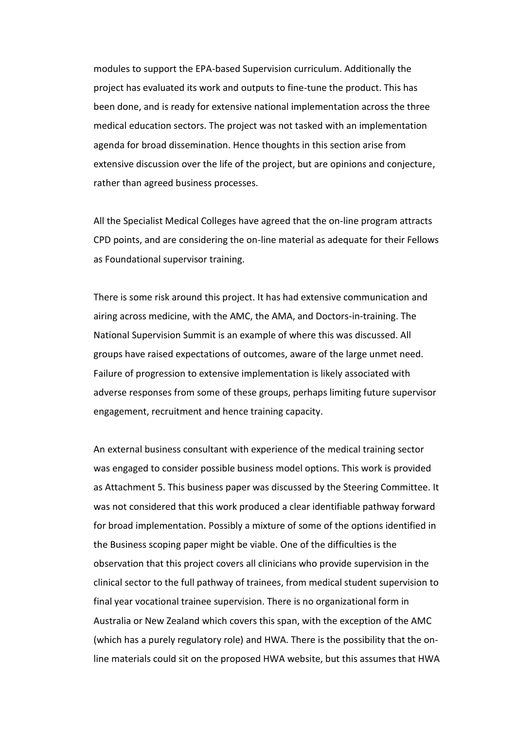modules to support the EPA-based Supervision curriculum. Additionally the project has evaluated its work and outputs to fine-tune the product. This has been done, and is ready for extensive national implementation across the three medical education sectors. The project was not tasked with an implementation agenda for broad dissemination. Hence thoughts in this section arise from extensive discussion over the life of the project, but are opinions and conjecture, rather than agreed business processes.

All the Specialist Medical Colleges have agreed that the on-line program attracts CPD points, and are considering the on-line material as adequate for their Fellows as Foundational supervisor training.

There is some risk around this project. It has had extensive communication and airing across medicine, with the AMC, the AMA, and Doctors-in-training. The National Supervision Summit is an example of where this was discussed. All groups have raised expectations of outcomes, aware of the large unmet need. Failure of progression to extensive implementation is likely associated with adverse responses from some of these groups, perhaps limiting future supervisor engagement, recruitment and hence training capacity.

An external business consultant with experience of the medical training sector was engaged to consider possible business model options. This work is provided as Attachment 5. This business paper was discussed by the Steering Committee. It was not considered that this work produced a clear identifiable pathway forward for broad implementation. Possibly a mixture of some of the options identified in the Business scoping paper might be viable. One of the difficulties is the observation that this project covers all clinicians who provide supervision in the clinical sector to the full pathway of trainees, from medical student supervision to final year vocational trainee supervision. There is no organizational form in Australia or New Zealand which covers this span, with the exception of the AMC (which has a purely regulatory role) and HWA. There is the possibility that the online materials could sit on the proposed HWA website, but this assumes that HWA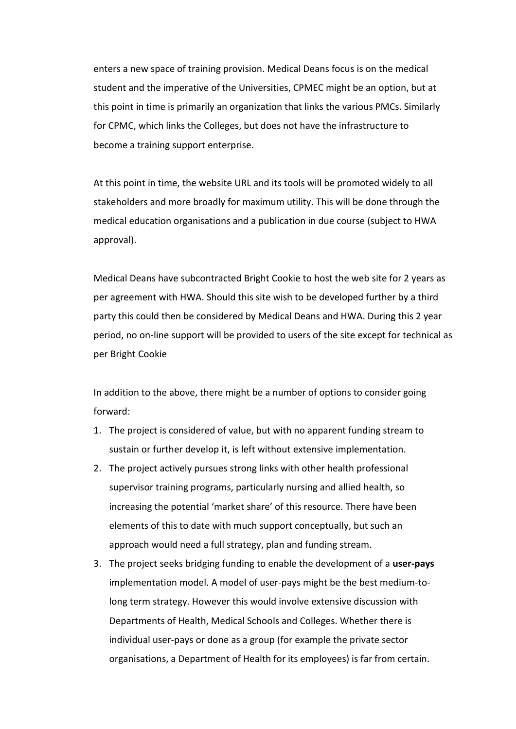enters a new space of training provision. Medical Deans focus is on the medical student and the imperative of the Universities, CPMEC might be an option, but at this point in time is primarily an organization that links the various PMCs. Similarly for CPMC, which links the Colleges, but does not have the infrastructure to become a training support enterprise.

At this point in time, the website URL and its tools will be promoted widely to all stakeholders and more broadly for maximum utility. This will be done through the medical education organisations and a publication in due course (subject to HWA approval).

Medical Deans have subcontracted Bright Cookie to host the web site for 2 years as per agreement with HWA. Should this site wish to be developed further by a third party this could then be considered by Medical Deans and HWA. During this 2 year period, no on-line support will be provided to users of the site except for technical as per Bright Cookie

In addition to the above, there might be a number of options to consider going forward:

- 1. The project is considered of value, but with no apparent funding stream to sustain or further develop it, is left without extensive implementation.
- 2. The project actively pursues strong links with other health professional supervisor training programs, particularly nursing and allied health, so increasing the potential 'market share' of this resource. There have been elements of this to date with much support conceptually, but such an approach would need a full strategy, plan and funding stream.
- 3. The project seeks bridging funding to enable the development of a **user-pays** implementation model. A model of user-pays might be the best medium-tolong term strategy. However this would involve extensive discussion with Departments of Health, Medical Schools and Colleges. Whether there is individual user-pays or done as a group (for example the private sector organisations, a Department of Health for its employees) is far from certain.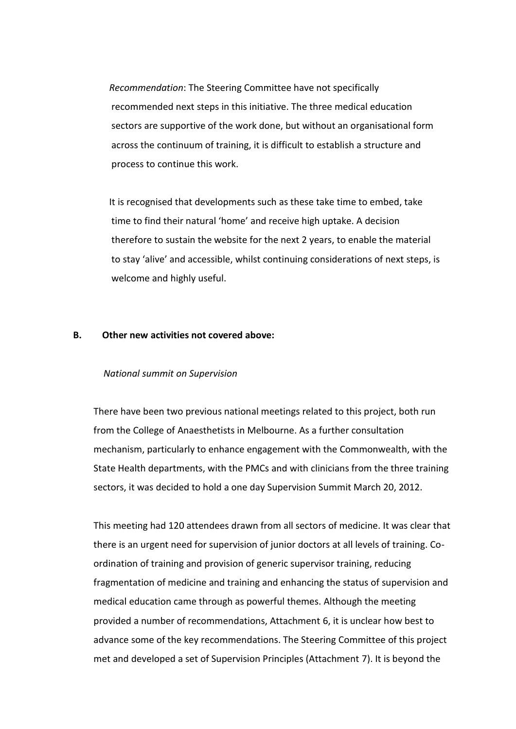*Recommendation*: The Steering Committee have not specifically recommended next steps in this initiative. The three medical education sectors are supportive of the work done, but without an organisational form across the continuum of training, it is difficult to establish a structure and process to continue this work.

It is recognised that developments such as these take time to embed, take time to find their natural 'home' and receive high uptake. A decision therefore to sustain the website for the next 2 years, to enable the material to stay 'alive' and accessible, whilst continuing considerations of next steps, is welcome and highly useful.

#### **B. Other new activities not covered above:**

#### *National summit on Supervision*

There have been two previous national meetings related to this project, both run from the College of Anaesthetists in Melbourne. As a further consultation mechanism, particularly to enhance engagement with the Commonwealth, with the State Health departments, with the PMCs and with clinicians from the three training sectors, it was decided to hold a one day Supervision Summit March 20, 2012.

This meeting had 120 attendees drawn from all sectors of medicine. It was clear that there is an urgent need for supervision of junior doctors at all levels of training. Coordination of training and provision of generic supervisor training, reducing fragmentation of medicine and training and enhancing the status of supervision and medical education came through as powerful themes. Although the meeting provided a number of recommendations, Attachment 6, it is unclear how best to advance some of the key recommendations. The Steering Committee of this project met and developed a set of Supervision Principles (Attachment 7). It is beyond the